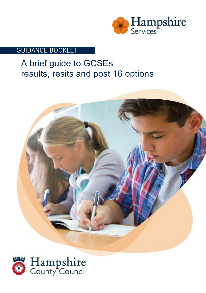

### GUIDANCE BOOKLET

# A brief guide to GCSEs results, resits and post 16 options



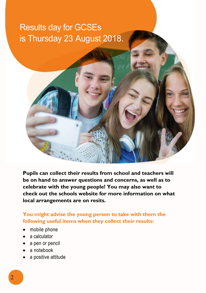# is Thursday 23 August 2018. Results day for GCSEs



**Pupils can collect their results from school and teachers will be on hand to answer questions and concerns, as well as to celebrate with the young people! You may also want to check out the schools website for more information on what local arrangements are on resits.**

**You might advise the young person to take with them the following useful items when they collect their results:**

- mobile phone
- a calculator
- a pen or pencil
- a notebook
- a positive attitude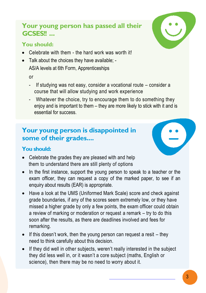## **Your young person has passed all their GCSES!!**

### **You should:**

- Celebrate with them the hard work was worth it!
- Talk about the choices they have available; AS/A levels at 6th Form, Apprenticeships

or

- If studying was not easy, consider a vocational route consider a course that will allow studying and work experience
- Whatever the choice, try to encourage them to do something they enjoy and is important to them – they are more likely to stick with it and is essential for success.

## **Your young person is disappointed in some of their grades....**

### **You should:**

- Celebrate the grades they are pleased with and help them to understand there are still plenty of options
- In the first instance, support the young person to speak to a teacher or the exam officer, they can request a copy of the marked paper, to see if an enquiry about results (EAR) is appropriate.
- Have a look at the UMS (Uniformed Mark Scale) score and check against grade boundaries, if any of the scores seem extremely low, or they have missed a higher grade by only a few points, the exam officer could obtain a review of marking or moderation or request a remark – try to do this soon after the results, as there are deadlines involved and fees for remarking.
- $\bullet$  If this doesn't work, then the young person can request a resit they need to think carefully about this decision.
- If they did well in other subjects, weren't really interested in the subject they did less well in, or it wasn't a core subject (maths, English or science), then there may be no need to worry about it.





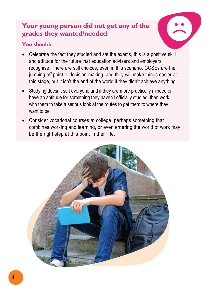## **Your young person did not get any of the grades they wanted/needed**

#### **You should:**



- Celebrate the fact they studied and sat the exams, this is a positive skill and attitude for the future that education advisers and employers recognise. There are still choices, even in this scenario. GCSEs are the jumping off point to decision-making, and they will make things easier at this stage, but it isn't the end of the world if they didn't achieve anything.
- Studying doesn't suit everyone and if they are more practically minded or have an aptitude for something they haven't officially studied, then work with them to take a serious look at the routes to get them to where they want to be.
- Consider vocational courses at college, perhaps something that combines working and learning, or even entering the world of work may be the right step at this point in their life.

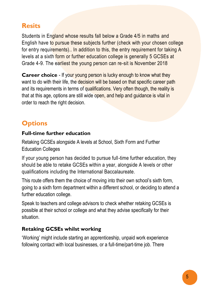## **Resits**

Students in England whose results fall below a Grade 4/5 in maths and English have to pursue these subjects further (check with your chosen college for entry requirements).. In addition to this, the entry requirement for taking A levels at a sixth form or further education college is generally 5 GCSEs at Grade 4-9. The earliest the young person can re-sit is November 2018

**Career choice** - If your young person is lucky enough to know what they want to do with their life, the decision will be based on that specific career path and its requirements in terms of qualifications. Very often though, the reality is that at this age, options are still wide open, and help and guidance is vital in order to reach the right decision.

# **Options**

#### **Full-time further education**

Retaking GCSEs alongside A levels at School, Sixth Form and Further Education Colleges

If your young person has decided to pursue full-time further education, they should be able to retake GCSEs within a year, alongside A levels or other qualifications including the International Baccalaureate.

This route offers them the choice of moving into their own school's sixth form, going to a sixth form department within a different school, or deciding to attend a further education college.

Speak to teachers and college advisors to check whether retaking GCSEs is possible at their school or college and what they advise specifically for their situation.

### **Retaking GCSEs whilst working**

'Working' might include starting an apprenticeship, unpaid work experience following contact with local businesses, or a full-time/part-time job. There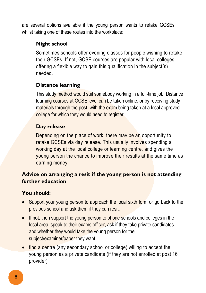are several options available if the young person wants to retake GCSEs whilst taking one of these routes into the workplace:

#### **Night school**

Sometimes schools offer evening classes for people wishing to retake their GCSEs. If not, GCSE courses are popular with local colleges, offering a flexible way to gain this qualification in the subject(s) needed.

### **Distance learning**

This study method would suit somebody working in a full-time job. Distance learning courses at GCSE level can be taken online, or by receiving study materials through the post, with the exam being taken at a local approved college for which they would need to register.

### **Day release**

Depending on the place of work, there may be an opportunity to retake GCSEs via day release. This usually involves spending a working day at the local college or learning centre, and gives the young person the chance to improve their results at the same time as earning money.

### **Advice on arranging a resit if the young person is not attending further education**

### **You should:**

- Support your young person to approach the local sixth form or go back to the previous school and ask them if they can resit.
- If not, then support the young person to phone schools and colleges in the local area, speak to their exams officer, ask if they take private candidates and whether they would take the young person for the subject/examiner/paper they want.
- find a centre (any secondary school or college) willing to accept the young person as a private candidate (if they are not enrolled at post 16 provider)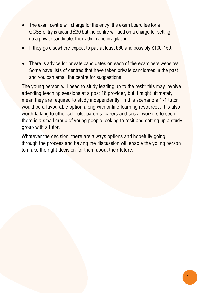- The exam centre will charge for the entry, the exam board fee for a GCSE entry is around £30 but the centre will add on a charge for setting up a private candidate, their admin and invigilation.
- If they go elsewhere expect to pay at least £60 and possibly £100-150.
- There is advice for private candidates on each of the examiners websites. Some have lists of centres that have taken private candidates in the past and you can email the centre for suggestions.

The young person will need to study leading up to the resit; this may involve attending teaching sessions at a post 16 provider, but it might ultimately mean they are required to study independently. In this scenario a 1-1 tutor would be a favourable option along with online learning resources. It is also worth talking to other schools, parents, carers and social workers to see if there is a small group of young people looking to resit and setting up a study group with a tutor.

Whatever the decision, there are always options and hopefully going through the process and having the discussion will enable the young person to make the right decision for them about their future.